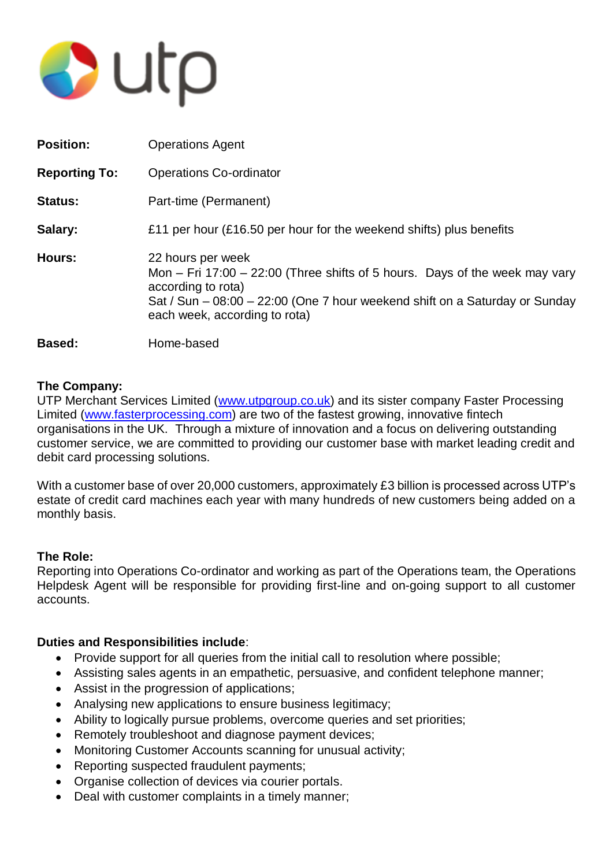

| <b>Position:</b>     | <b>Operations Agent</b>                                                                                                                                                                                                                    |
|----------------------|--------------------------------------------------------------------------------------------------------------------------------------------------------------------------------------------------------------------------------------------|
| <b>Reporting To:</b> | <b>Operations Co-ordinator</b>                                                                                                                                                                                                             |
| <b>Status:</b>       | Part-time (Permanent)                                                                                                                                                                                                                      |
| Salary:              | £11 per hour (£16.50 per hour for the weekend shifts) plus benefits                                                                                                                                                                        |
| Hours:               | 22 hours per week<br>Mon $-$ Fri 17:00 $-$ 22:00 (Three shifts of 5 hours. Days of the week may vary<br>according to rota)<br>Sat / Sun – 08:00 – 22:00 (One 7 hour weekend shift on a Saturday or Sunday<br>each week, according to rota) |
| Based:               | Home-based                                                                                                                                                                                                                                 |

# **The Company:**

UTP Merchant Services Limited [\(www.utpgroup.co.uk\)](http://www.utpgroup.co.uk/) and its sister company Faster Processing Limited [\(www.fasterprocessing.com\)](http://www.fasterprocessing.com/) are two of the fastest growing, innovative fintech organisations in the UK. Through a mixture of innovation and a focus on delivering outstanding customer service, we are committed to providing our customer base with market leading credit and debit card processing solutions.

With a customer base of over 20,000 customers, approximately £3 billion is processed across UTP's estate of credit card machines each year with many hundreds of new customers being added on a monthly basis.

# **The Role:**

Reporting into Operations Co-ordinator and working as part of the Operations team, the Operations Helpdesk Agent will be responsible for providing first-line and on-going support to all customer accounts.

# **Duties and Responsibilities include**:

- Provide support for all queries from the initial call to resolution where possible;
- Assisting sales agents in an empathetic, persuasive, and confident telephone manner;
- Assist in the progression of applications;
- Analysing new applications to ensure business legitimacy:
- Ability to logically pursue problems, overcome queries and set priorities;
- Remotely troubleshoot and diagnose payment devices;
- Monitoring Customer Accounts scanning for unusual activity;
- Reporting suspected fraudulent payments;
- Organise collection of devices via courier portals.
- Deal with customer complaints in a timely manner: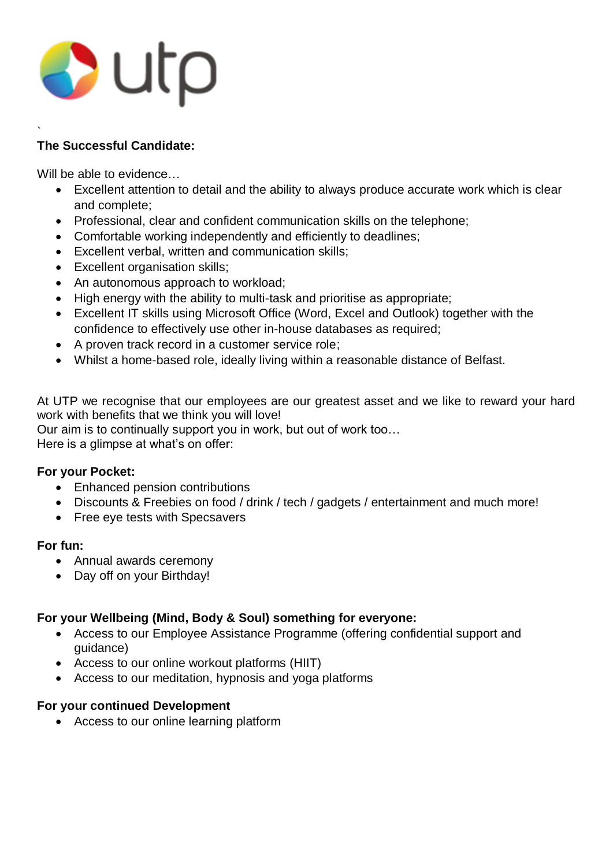# $\bullet$  utp

#### ` **The Successful Candidate:**

Will be able to evidence…

- Excellent attention to detail and the ability to always produce accurate work which is clear and complete;
- Professional, clear and confident communication skills on the telephone:
- Comfortable working independently and efficiently to deadlines;
- Excellent verbal, written and communication skills;
- Excellent organisation skills:
- An autonomous approach to workload;
- High energy with the ability to multi-task and prioritise as appropriate;
- Excellent IT skills using Microsoft Office (Word, Excel and Outlook) together with the confidence to effectively use other in-house databases as required;
- A proven track record in a customer service role;
- Whilst a home-based role, ideally living within a reasonable distance of Belfast.

At UTP we recognise that our employees are our greatest asset and we like to reward your hard work with benefits that we think you will love!

Our aim is to continually support you in work, but out of work too…

Here is a glimpse at what's on offer:

# **For your Pocket:**

- Enhanced pension contributions
- Discounts & Freebies on food / drink / tech / gadgets / entertainment and much more!
- Free eye tests with Specsavers

# **For fun:**

- Annual awards ceremony
- Day off on your Birthday!

# **For your Wellbeing (Mind, Body & Soul) something for everyone:**

- Access to our Employee Assistance Programme (offering confidential support and guidance)
- Access to our online workout platforms (HIIT)
- Access to our meditation, hypnosis and yoga platforms

# **For your continued Development**

Access to our online learning platform